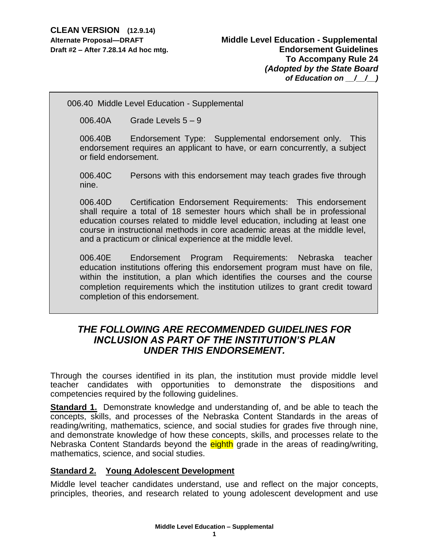006.40 Middle Level Education - Supplemental

006.40A Grade Levels 5 – 9

006.40B Endorsement Type: Supplemental endorsement only. This endorsement requires an applicant to have, or earn concurrently, a subject or field endorsement.

006.40C Persons with this endorsement may teach grades five through nine.

006.40D Certification Endorsement Requirements: This endorsement shall require a total of 18 semester hours which shall be in professional education courses related to middle level education, including at least one course in instructional methods in core academic areas at the middle level, and a practicum or clinical experience at the middle level.

006.40E Endorsement Program Requirements: Nebraska teacher education institutions offering this endorsement program must have on file, within the institution, a plan which identifies the courses and the course completion requirements which the institution utilizes to grant credit toward completion of this endorsement.

# *THE FOLLOWING ARE RECOMMENDED GUIDELINES FOR INCLUSION AS PART OF THE INSTITUTION'S PLAN UNDER THIS ENDORSEMENT.*

Through the courses identified in its plan, the institution must provide middle level teacher candidates with opportunities to demonstrate the dispositions and competencies required by the following guidelines.

**Standard 1.** Demonstrate knowledge and understanding of, and be able to teach the concepts, skills, and processes of the Nebraska Content Standards in the areas of reading/writing, mathematics, science, and social studies for grades five through nine, and demonstrate knowledge of how these concepts, skills, and processes relate to the Nebraska Content Standards beyond the eighth grade in the areas of reading/writing, mathematics, science, and social studies.

# **Standard 2. Young Adolescent Development**

Middle level teacher candidates understand, use and reflect on the major concepts, principles, theories, and research related to young adolescent development and use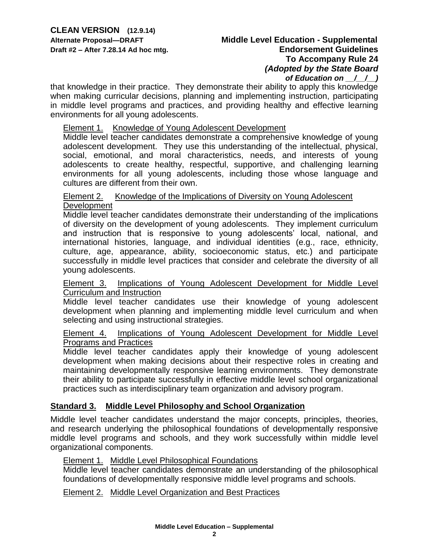## **Alternate Proposal—DRAFT Middle Level Education - Supplemental Draft #2 – After 7.28.14 Ad hoc mtg. Endorsement Guidelines To Accompany Rule 24** *(Adopted by the State Board of Education on \_\_/\_\_/\_\_)*

that knowledge in their practice. They demonstrate their ability to apply this knowledge when making curricular decisions, planning and implementing instruction, participating in middle level programs and practices, and providing healthy and effective learning environments for all young adolescents.

#### Element 1. Knowledge of Young Adolescent Development

Middle level teacher candidates demonstrate a comprehensive knowledge of young adolescent development. They use this understanding of the intellectual, physical, social, emotional, and moral characteristics, needs, and interests of young adolescents to create healthy, respectful, supportive, and challenging learning environments for all young adolescents, including those whose language and cultures are different from their own.

# Element 2. Knowledge of the Implications of Diversity on Young Adolescent Development

Middle level teacher candidates demonstrate their understanding of the implications of diversity on the development of young adolescents. They implement curriculum and instruction that is responsive to young adolescents' local, national, and international histories, language, and individual identities (e.g., race, ethnicity, culture, age, appearance, ability, socioeconomic status, etc.) and participate successfully in middle level practices that consider and celebrate the diversity of all young adolescents.

#### Element 3. Implications of Young Adolescent Development for Middle Level Curriculum and Instruction

Middle level teacher candidates use their knowledge of young adolescent development when planning and implementing middle level curriculum and when selecting and using instructional strategies.

## Element 4. Implications of Young Adolescent Development for Middle Level Programs and Practices

Middle level teacher candidates apply their knowledge of young adolescent development when making decisions about their respective roles in creating and maintaining developmentally responsive learning environments. They demonstrate their ability to participate successfully in effective middle level school organizational practices such as interdisciplinary team organization and advisory program.

# **Standard 3. Middle Level Philosophy and School Organization**

Middle level teacher candidates understand the major concepts, principles, theories, and research underlying the philosophical foundations of developmentally responsive middle level programs and schools, and they work successfully within middle level organizational components.

#### Element 1. Middle Level Philosophical Foundations

Middle level teacher candidates demonstrate an understanding of the philosophical foundations of developmentally responsive middle level programs and schools.

Element 2. Middle Level Organization and Best Practices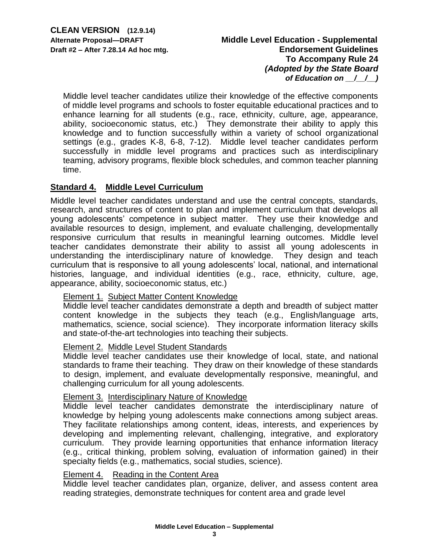Middle level teacher candidates utilize their knowledge of the effective components of middle level programs and schools to foster equitable educational practices and to enhance learning for all students (e.g., race, ethnicity, culture, age, appearance, ability, socioeconomic status, etc.) They demonstrate their ability to apply this knowledge and to function successfully within a variety of school organizational settings (e.g., grades K-8, 6-8, 7-12). Middle level teacher candidates perform successfully in middle level programs and practices such as interdisciplinary teaming, advisory programs, flexible block schedules, and common teacher planning time.

# **Standard 4. Middle Level Curriculum**

Middle level teacher candidates understand and use the central concepts, standards, research, and structures of content to plan and implement curriculum that develops all young adolescents' competence in subject matter. They use their knowledge and available resources to design, implement, and evaluate challenging, developmentally responsive curriculum that results in meaningful learning outcomes. Middle level teacher candidates demonstrate their ability to assist all young adolescents in understanding the interdisciplinary nature of knowledge. They design and teach curriculum that is responsive to all young adolescents' local, national, and international histories, language, and individual identities (e.g., race, ethnicity, culture, age, appearance, ability, socioeconomic status, etc.)

## Element 1. Subject Matter Content Knowledge

Middle level teacher candidates demonstrate a depth and breadth of subject matter content knowledge in the subjects they teach (e.g., English/language arts, mathematics, science, social science). They incorporate information literacy skills and state-of-the-art technologies into teaching their subjects.

## Element 2. Middle Level Student Standards

Middle level teacher candidates use their knowledge of local, state, and national standards to frame their teaching. They draw on their knowledge of these standards to design, implement, and evaluate developmentally responsive, meaningful, and challenging curriculum for all young adolescents.

## Element 3. Interdisciplinary Nature of Knowledge

Middle level teacher candidates demonstrate the interdisciplinary nature of knowledge by helping young adolescents make connections among subject areas. They facilitate relationships among content, ideas, interests, and experiences by developing and implementing relevant, challenging, integrative, and exploratory curriculum. They provide learning opportunities that enhance information literacy (e.g., critical thinking, problem solving, evaluation of information gained) in their specialty fields (e.g., mathematics, social studies, science).

## Element 4. Reading in the Content Area

Middle level teacher candidates plan, organize, deliver, and assess content area reading strategies, demonstrate techniques for content area and grade level